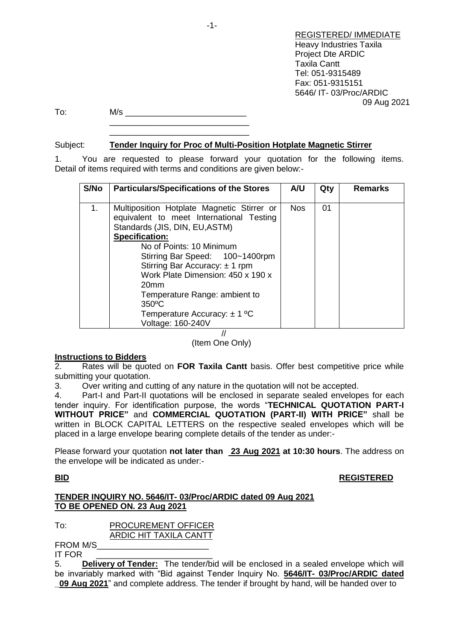|     |     | <b>REGISTERED/ IMMEDIATE</b><br><b>Heavy Industries Taxila</b><br><b>Project Dte ARDIC</b><br><b>Taxila Cantt</b> |
|-----|-----|-------------------------------------------------------------------------------------------------------------------|
|     |     | Tel: 051-9315489                                                                                                  |
|     |     | Fax: 051-9315151                                                                                                  |
|     |     | 5646/IT-03/Proc/ARDIC                                                                                             |
|     |     | 09 Aug 2021                                                                                                       |
| To: | M/s |                                                                                                                   |
|     |     |                                                                                                                   |
|     |     |                                                                                                                   |

## Subject: **Tender Inquiry for Proc of Multi-Position Hotplate Magnetic Stirrer**

\_\_\_\_\_\_\_\_\_\_\_\_\_\_\_\_\_\_\_\_\_\_\_\_\_\_\_\_\_\_

1. You are requested to please forward your quotation for the following items. Detail of items required with terms and conditions are given below:-

| S/No | <b>Particulars/Specifications of the Stores</b>                                                                                                                                                                                                                                                                                                                                                                | A/U        | Qty | <b>Remarks</b> |
|------|----------------------------------------------------------------------------------------------------------------------------------------------------------------------------------------------------------------------------------------------------------------------------------------------------------------------------------------------------------------------------------------------------------------|------------|-----|----------------|
| 1.   | Multiposition Hotplate Magnetic Stirrer or<br>equivalent to meet International Testing<br>Standards (JIS, DIN, EU, ASTM)<br><b>Specification:</b><br>No of Points: 10 Minimum<br>Stirring Bar Speed: 100~1400rpm<br>Stirring Bar Accuracy: ± 1 rpm<br>Work Plate Dimension: 450 x 190 x<br>20 <sub>mm</sub><br>Temperature Range: ambient to<br>350°C<br>Temperature Accuracy: $\pm$ 1 °C<br>Voltage: 160-240V | <b>Nos</b> | 01  |                |

//

(Item One Only)

### **Instructions to Bidders**

2. Rates will be quoted on **FOR Taxila Cantt** basis. Offer best competitive price while submitting your quotation.

3. Over writing and cutting of any nature in the quotation will not be accepted.

4. Part-I and Part-II quotations will be enclosed in separate sealed envelopes for each tender inquiry. For identification purpose, the words "**TECHNICAL QUOTATION PART-I WITHOUT PRICE"** and **COMMERCIAL QUOTATION (PART-II) WITH PRICE"** shall be written in BLOCK CAPITAL LETTERS on the respective sealed envelopes which will be placed in a large envelope bearing complete details of the tender as under:-

Please forward your quotation **not later than 23 Aug 2021 at 10:30 hours**. The address on the envelope will be indicated as under:-

### **BID REGISTERED**

### **TENDER INQUIRY NO. 5646/IT- 03/Proc/ARDIC dated 09 Aug 2021 TO BE OPENED ON. 23 Aug 2021**

To: PROCUREMENT OFFICER

ARDIC HIT TAXILA CANTT

FROM M/S\_\_\_\_\_\_\_\_\_\_\_\_\_\_\_\_\_\_\_\_\_\_\_\_ IT FOR

5. **Delivery of Tender:** The tender/bid will be enclosed in a sealed envelope which will be invariably marked with "Bid against Tender Inquiry No. **5646/IT- 03/Proc/ARDIC dated \_09 Aug 2021**" and complete address. The tender if brought by hand, will be handed over to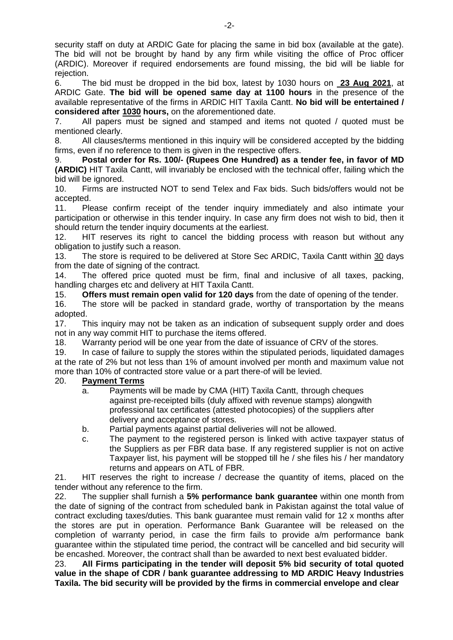security staff on duty at ARDIC Gate for placing the same in bid box (available at the gate). The bid will not be brought by hand by any firm while visiting the office of Proc officer (ARDIC). Moreover if required endorsements are found missing, the bid will be liable for rejection.

6. The bid must be dropped in the bid box, latest by 1030 hours on **23 Aug 2021**, at ARDIC Gate. **The bid will be opened same day at 1100 hours** in the presence of the available representative of the firms in ARDIC HIT Taxila Cantt. **No bid will be entertained / considered after 1030 hours,** on the aforementioned date.

7. All papers must be signed and stamped and items not quoted / quoted must be mentioned clearly.

8. All clauses/terms mentioned in this inquiry will be considered accepted by the bidding firms, even if no reference to them is given in the respective offers.

9. **Postal order for Rs. 100/- (Rupees One Hundred) as a tender fee, in favor of MD (ARDIC)** HIT Taxila Cantt, will invariably be enclosed with the technical offer, failing which the bid will be ignored.

10. Firms are instructed NOT to send Telex and Fax bids. Such bids/offers would not be accepted.

11. Please confirm receipt of the tender inquiry immediately and also intimate your participation or otherwise in this tender inquiry. In case any firm does not wish to bid, then it should return the tender inquiry documents at the earliest.

12. HIT reserves its right to cancel the bidding process with reason but without any obligation to justify such a reason.

13. The store is required to be delivered at Store Sec ARDIC, Taxila Cantt within 30 days from the date of signing of the contract.

14. The offered price quoted must be firm, final and inclusive of all taxes, packing, handling charges etc and delivery at HIT Taxila Cantt.

15. **Offers must remain open valid for 120 days** from the date of opening of the tender.

16. The store will be packed in standard grade, worthy of transportation by the means adopted.

17. This inquiry may not be taken as an indication of subsequent supply order and does not in any way commit HIT to purchase the items offered.

18. Warranty period will be one year from the date of issuance of CRV of the stores.

19. In case of failure to supply the stores within the stipulated periods, liquidated damages at the rate of 2% but not less than 1% of amount involved per month and maximum value not more than 10% of contracted store value or a part there-of will be levied.

### 20. **Payment Terms**

- a. Payments will be made by CMA (HIT) Taxila Cantt, through cheques against pre-receipted bills (duly affixed with revenue stamps) alongwith professional tax certificates (attested photocopies) of the suppliers after delivery and acceptance of stores.
- b. Partial payments against partial deliveries will not be allowed.
- c. The payment to the registered person is linked with active taxpayer status of the Suppliers as per FBR data base. If any registered supplier is not on active Taxpayer list, his payment will be stopped till he / she files his / her mandatory returns and appears on ATL of FBR.

21. HIT reserves the right to increase / decrease the quantity of items, placed on the tender without any reference to the firm.

22. The supplier shall furnish a **5% performance bank guarantee** within one month from the date of signing of the contract from scheduled bank in Pakistan against the total value of contract excluding taxes/duties. This bank guarantee must remain valid for 12 x months after the stores are put in operation. Performance Bank Guarantee will be released on the completion of warranty period, in case the firm fails to provide a/m performance bank guarantee within the stipulated time period, the contract will be cancelled and bid security will be encashed. Moreover, the contract shall than be awarded to next best evaluated bidder.

23. **All Firms participating in the tender will deposit 5% bid security of total quoted value in the shape of CDR / bank guarantee addressing to MD ARDIC Heavy Industries Taxila. The bid security will be provided by the firms in commercial envelope and clear**